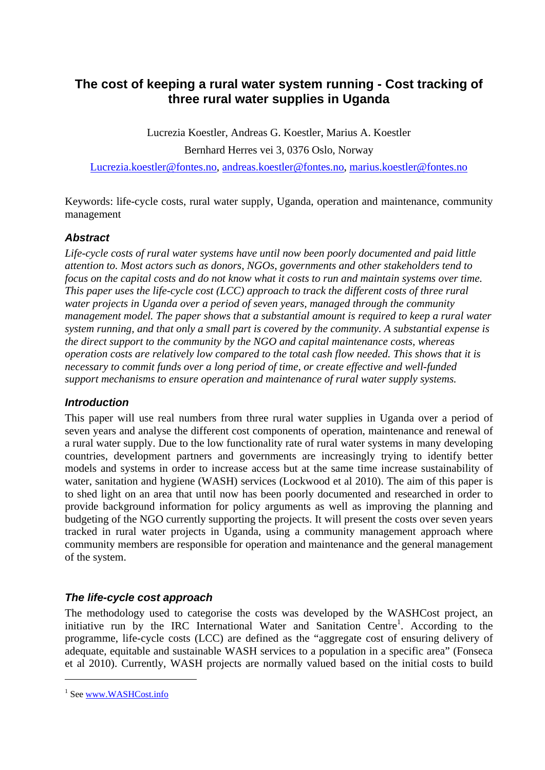# **The cost of keeping a rural water system running - Cost tracking of three rural water supplies in Uganda**

Lucrezia Koestler, Andreas G. Koestler, Marius A. Koestler Bernhard Herres vei 3, 0376 Oslo, Norway

Lucrezia.koestler@fontes.no, andreas.koestler@fontes.no, marius.koestler@fontes.no

Keywords: life-cycle costs, rural water supply, Uganda, operation and maintenance, community management

# *Abstract*

*Life-cycle costs of rural water systems have until now been poorly documented and paid little attention to. Most actors such as donors, NGOs, governments and other stakeholders tend to focus on the capital costs and do not know what it costs to run and maintain systems over time. This paper uses the life-cycle cost (LCC) approach to track the different costs of three rural water projects in Uganda over a period of seven years, managed through the community management model. The paper shows that a substantial amount is required to keep a rural water system running, and that only a small part is covered by the community. A substantial expense is the direct support to the community by the NGO and capital maintenance costs, whereas operation costs are relatively low compared to the total cash flow needed. This shows that it is necessary to commit funds over a long period of time, or create effective and well-funded support mechanisms to ensure operation and maintenance of rural water supply systems.* 

## *Introduction*

This paper will use real numbers from three rural water supplies in Uganda over a period of seven years and analyse the different cost components of operation, maintenance and renewal of a rural water supply. Due to the low functionality rate of rural water systems in many developing countries, development partners and governments are increasingly trying to identify better models and systems in order to increase access but at the same time increase sustainability of water, sanitation and hygiene (WASH) services (Lockwood et al 2010). The aim of this paper is to shed light on an area that until now has been poorly documented and researched in order to provide background information for policy arguments as well as improving the planning and budgeting of the NGO currently supporting the projects. It will present the costs over seven years tracked in rural water projects in Uganda, using a community management approach where community members are responsible for operation and maintenance and the general management of the system.

# *The life-cycle cost approach*

The methodology used to categorise the costs was developed by the WASHCost project, an initiative run by the IRC International Water and Sanitation Centre<sup>1</sup>. According to the programme, life-cycle costs (LCC) are defined as the "aggregate cost of ensuring delivery of adequate, equitable and sustainable WASH services to a population in a specific area" (Fonseca et al 2010). Currently, WASH projects are normally valued based on the initial costs to build

1

<sup>&</sup>lt;sup>1</sup> See www.WASHCost.info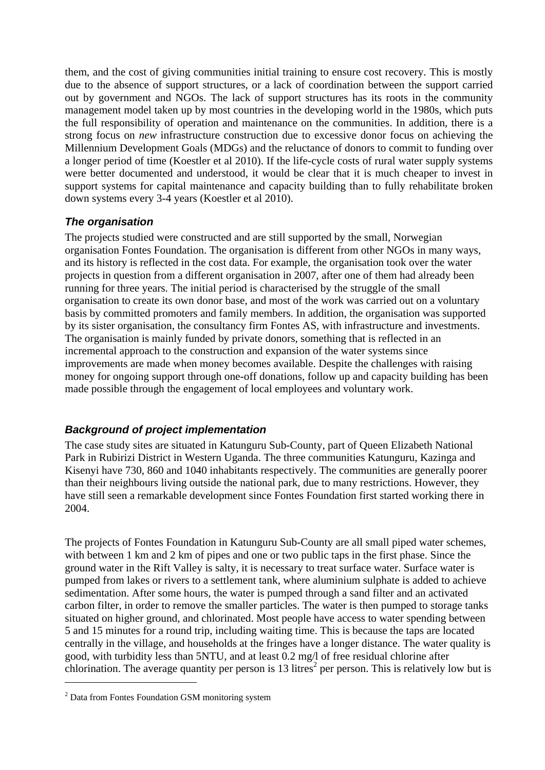them, and the cost of giving communities initial training to ensure cost recovery. This is mostly due to the absence of support structures, or a lack of coordination between the support carried out by government and NGOs. The lack of support structures has its roots in the community management model taken up by most countries in the developing world in the 1980s, which puts the full responsibility of operation and maintenance on the communities. In addition, there is a strong focus on *new* infrastructure construction due to excessive donor focus on achieving the Millennium Development Goals (MDGs) and the reluctance of donors to commit to funding over a longer period of time (Koestler et al 2010). If the life-cycle costs of rural water supply systems were better documented and understood, it would be clear that it is much cheaper to invest in support systems for capital maintenance and capacity building than to fully rehabilitate broken down systems every 3-4 years (Koestler et al 2010).

## *The organisation*

The projects studied were constructed and are still supported by the small, Norwegian organisation Fontes Foundation. The organisation is different from other NGOs in many ways, and its history is reflected in the cost data. For example, the organisation took over the water projects in question from a different organisation in 2007, after one of them had already been running for three years. The initial period is characterised by the struggle of the small organisation to create its own donor base, and most of the work was carried out on a voluntary basis by committed promoters and family members. In addition, the organisation was supported by its sister organisation, the consultancy firm Fontes AS, with infrastructure and investments. The organisation is mainly funded by private donors, something that is reflected in an incremental approach to the construction and expansion of the water systems since improvements are made when money becomes available. Despite the challenges with raising money for ongoing support through one-off donations, follow up and capacity building has been made possible through the engagement of local employees and voluntary work.

# *Background of project implementation*

The case study sites are situated in Katunguru Sub-County, part of Queen Elizabeth National Park in Rubirizi District in Western Uganda. The three communities Katunguru, Kazinga and Kisenyi have 730, 860 and 1040 inhabitants respectively. The communities are generally poorer than their neighbours living outside the national park, due to many restrictions. However, they have still seen a remarkable development since Fontes Foundation first started working there in 2004.

The projects of Fontes Foundation in Katunguru Sub-County are all small piped water schemes, with between 1 km and 2 km of pipes and one or two public taps in the first phase. Since the ground water in the Rift Valley is salty, it is necessary to treat surface water. Surface water is pumped from lakes or rivers to a settlement tank, where aluminium sulphate is added to achieve sedimentation. After some hours, the water is pumped through a sand filter and an activated carbon filter, in order to remove the smaller particles. The water is then pumped to storage tanks situated on higher ground, and chlorinated. Most people have access to water spending between 5 and 15 minutes for a round trip, including waiting time. This is because the taps are located centrally in the village, and households at the fringes have a longer distance. The water quality is good, with turbidity less than 5NTU, and at least 0.2 mg/l of free residual chlorine after chlorination. The average quantity per person is  $13$  litres<sup>2</sup> per person. This is relatively low but is 1

<sup>&</sup>lt;sup>2</sup> Data from Fontes Foundation GSM monitoring system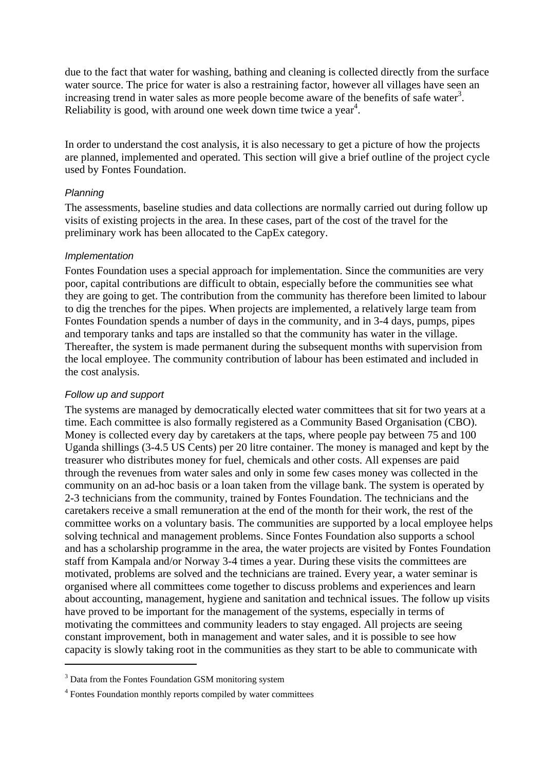due to the fact that water for washing, bathing and cleaning is collected directly from the surface water source. The price for water is also a restraining factor, however all villages have seen an increasing trend in water sales as more people become aware of the benefits of safe water<sup>3</sup>. Reliability is good, with around one week down time twice a year<sup>4</sup>.

In order to understand the cost analysis, it is also necessary to get a picture of how the projects are planned, implemented and operated. This section will give a brief outline of the project cycle used by Fontes Foundation.

#### *Planning*

The assessments, baseline studies and data collections are normally carried out during follow up visits of existing projects in the area. In these cases, part of the cost of the travel for the preliminary work has been allocated to the CapEx category.

## *Implementation*

Fontes Foundation uses a special approach for implementation. Since the communities are very poor, capital contributions are difficult to obtain, especially before the communities see what they are going to get. The contribution from the community has therefore been limited to labour to dig the trenches for the pipes. When projects are implemented, a relatively large team from Fontes Foundation spends a number of days in the community, and in 3-4 days, pumps, pipes and temporary tanks and taps are installed so that the community has water in the village. Thereafter, the system is made permanent during the subsequent months with supervision from the local employee. The community contribution of labour has been estimated and included in the cost analysis.

## *Follow up and support*

1

The systems are managed by democratically elected water committees that sit for two years at a time. Each committee is also formally registered as a Community Based Organisation (CBO). Money is collected every day by caretakers at the taps, where people pay between 75 and 100 Uganda shillings (3-4.5 US Cents) per 20 litre container. The money is managed and kept by the treasurer who distributes money for fuel, chemicals and other costs. All expenses are paid through the revenues from water sales and only in some few cases money was collected in the community on an ad-hoc basis or a loan taken from the village bank. The system is operated by 2-3 technicians from the community, trained by Fontes Foundation. The technicians and the caretakers receive a small remuneration at the end of the month for their work, the rest of the committee works on a voluntary basis. The communities are supported by a local employee helps solving technical and management problems. Since Fontes Foundation also supports a school and has a scholarship programme in the area, the water projects are visited by Fontes Foundation staff from Kampala and/or Norway 3-4 times a year. During these visits the committees are motivated, problems are solved and the technicians are trained. Every year, a water seminar is organised where all committees come together to discuss problems and experiences and learn about accounting, management, hygiene and sanitation and technical issues. The follow up visits have proved to be important for the management of the systems, especially in terms of motivating the committees and community leaders to stay engaged. All projects are seeing constant improvement, both in management and water sales, and it is possible to see how capacity is slowly taking root in the communities as they start to be able to communicate with

<sup>&</sup>lt;sup>3</sup> Data from the Fontes Foundation GSM monitoring system

<sup>4</sup> Fontes Foundation monthly reports compiled by water committees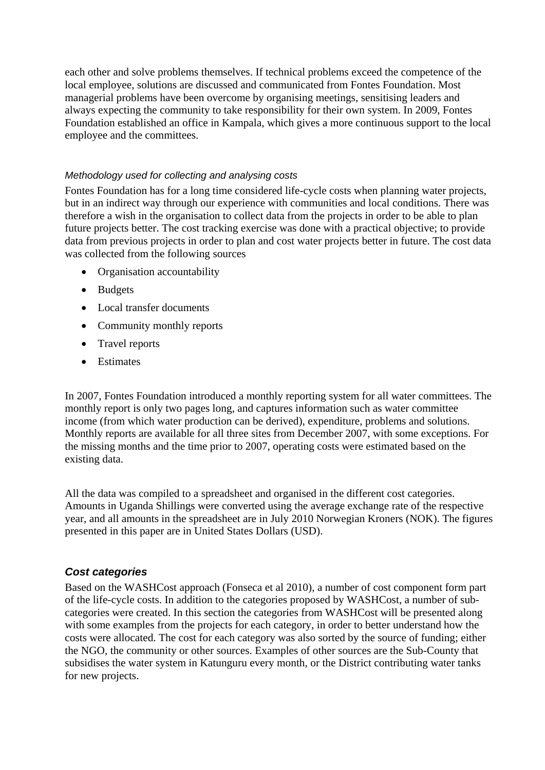each other and solve problems themselves. If technical problems exceed the competence of the local employee, solutions are discussed and communicated from Fontes Foundation. Most managerial problems have been overcome by organising meetings, sensitising leaders and always expecting the community to take responsibility for their own system. In 2009, Fontes Foundation established an office in Kampala, which gives a more continuous support to the local employee and the committees.

## *Methodology used for collecting and analysing costs*

Fontes Foundation has for a long time considered life-cycle costs when planning water projects, but in an indirect way through our experience with communities and local conditions. There was therefore a wish in the organisation to collect data from the projects in order to be able to plan future projects better. The cost tracking exercise was done with a practical objective; to provide data from previous projects in order to plan and cost water projects better in future. The cost data was collected from the following sources

- Organisation accountability
- Budgets
- Local transfer documents
- Community monthly reports
- Travel reports
- Estimates

In 2007, Fontes Foundation introduced a monthly reporting system for all water committees. The monthly report is only two pages long, and captures information such as water committee income (from which water production can be derived), expenditure, problems and solutions. Monthly reports are available for all three sites from December 2007, with some exceptions. For the missing months and the time prior to 2007, operating costs were estimated based on the existing data.

All the data was compiled to a spreadsheet and organised in the different cost categories. Amounts in Uganda Shillings were converted using the average exchange rate of the respective year, and all amounts in the spreadsheet are in July 2010 Norwegian Kroners (NOK). The figures presented in this paper are in United States Dollars (USD).

## *Cost categories*

Based on the WASHCost approach (Fonseca et al 2010), a number of cost component form part of the life-cycle costs. In addition to the categories proposed by WASHCost, a number of subcategories were created. In this section the categories from WASHCost will be presented along with some examples from the projects for each category, in order to better understand how the costs were allocated. The cost for each category was also sorted by the source of funding; either the NGO, the community or other sources. Examples of other sources are the Sub-County that subsidises the water system in Katunguru every month, or the District contributing water tanks for new projects.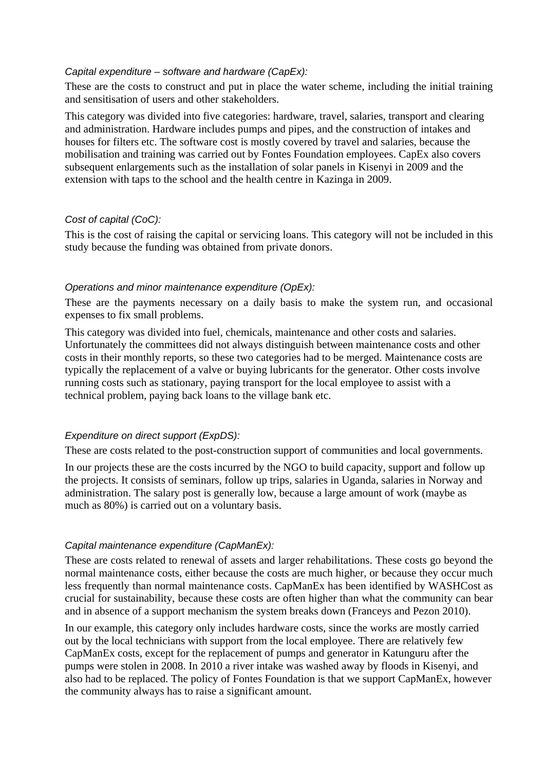#### *Capital expenditure – software and hardware (CapEx):*

These are the costs to construct and put in place the water scheme, including the initial training and sensitisation of users and other stakeholders.

This category was divided into five categories: hardware, travel, salaries, transport and clearing and administration. Hardware includes pumps and pipes, and the construction of intakes and houses for filters etc. The software cost is mostly covered by travel and salaries, because the mobilisation and training was carried out by Fontes Foundation employees. CapEx also covers subsequent enlargements such as the installation of solar panels in Kisenyi in 2009 and the extension with taps to the school and the health centre in Kazinga in 2009.

#### *Cost of capital (CoC):*

This is the cost of raising the capital or servicing loans. This category will not be included in this study because the funding was obtained from private donors.

#### *Operations and minor maintenance expenditure (OpEx):*

These are the payments necessary on a daily basis to make the system run, and occasional expenses to fix small problems.

This category was divided into fuel, chemicals, maintenance and other costs and salaries. Unfortunately the committees did not always distinguish between maintenance costs and other costs in their monthly reports, so these two categories had to be merged. Maintenance costs are typically the replacement of a valve or buying lubricants for the generator. Other costs involve running costs such as stationary, paying transport for the local employee to assist with a technical problem, paying back loans to the village bank etc.

## *Expenditure on direct support (ExpDS):*

These are costs related to the post-construction support of communities and local governments.

In our projects these are the costs incurred by the NGO to build capacity, support and follow up the projects. It consists of seminars, follow up trips, salaries in Uganda, salaries in Norway and administration. The salary post is generally low, because a large amount of work (maybe as much as 80%) is carried out on a voluntary basis.

#### *Capital maintenance expenditure (CapManEx):*

These are costs related to renewal of assets and larger rehabilitations. These costs go beyond the normal maintenance costs, either because the costs are much higher, or because they occur much less frequently than normal maintenance costs. CapManEx has been identified by WASHCost as crucial for sustainability, because these costs are often higher than what the community can bear and in absence of a support mechanism the system breaks down (Franceys and Pezon 2010).

In our example, this category only includes hardware costs, since the works are mostly carried out by the local technicians with support from the local employee. There are relatively few CapManEx costs, except for the replacement of pumps and generator in Katunguru after the pumps were stolen in 2008. In 2010 a river intake was washed away by floods in Kisenyi, and also had to be replaced. The policy of Fontes Foundation is that we support CapManEx, however the community always has to raise a significant amount.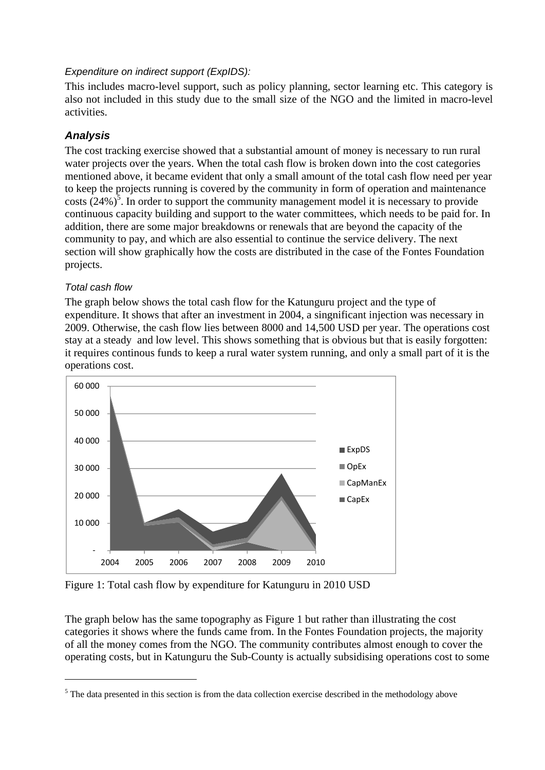## *Expenditure on indirect support (ExpIDS):*

This includes macro-level support, such as policy planning, sector learning etc. This category is also not included in this study due to the small size of the NGO and the limited in macro-level activities.

# *Analysis*

The cost tracking exercise showed that a substantial amount of money is necessary to run rural water projects over the years. When the total cash flow is broken down into the cost categories mentioned above, it became evident that only a small amount of the total cash flow need per year to keep the projects running is covered by the community in form of operation and maintenance costs  $(24%)^5$ . In order to support the community management model it is necessary to provide continuous capacity building and support to the water committees, which needs to be paid for. In addition, there are some major breakdowns or renewals that are beyond the capacity of the community to pay, and which are also essential to continue the service delivery. The next section will show graphically how the costs are distributed in the case of the Fontes Foundation projects.

# *Total cash flow*

1

The graph below shows the total cash flow for the Katunguru project and the type of expenditure. It shows that after an investment in 2004, a singnificant injection was necessary in 2009. Otherwise, the cash flow lies between 8000 and 14,500 USD per year. The operations cost stay at a steady and low level. This shows something that is obvious but that is easily forgotten: it requires continous funds to keep a rural water system running, and only a small part of it is the operations cost.



Figure 1: Total cash flow by expenditure for Katunguru in 2010 USD

The graph below has the same topography as Figure 1 but rather than illustrating the cost categories it shows where the funds came from. In the Fontes Foundation projects, the majority of all the money comes from the NGO. The community contributes almost enough to cover the operating costs, but in Katunguru the Sub-County is actually subsidising operations cost to some

<sup>&</sup>lt;sup>5</sup> The data presented in this section is from the data collection exercise described in the methodology above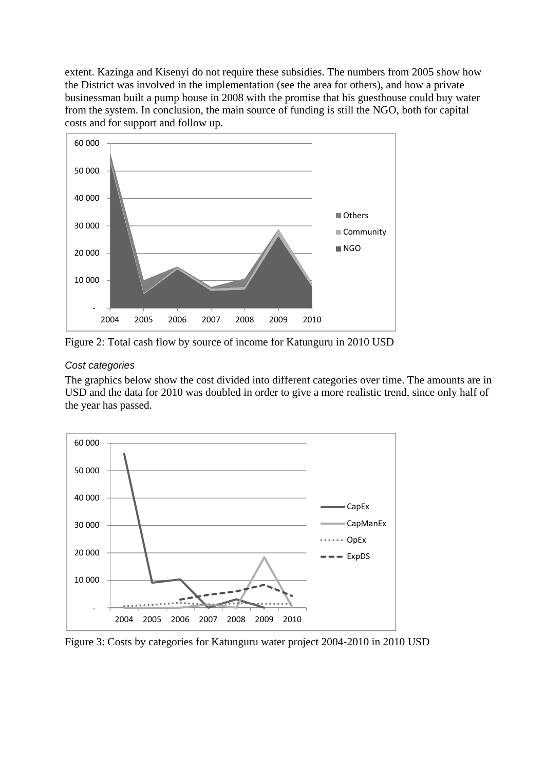extent. Kazinga and Kisenyi do not require these subsidies. The numbers from 2005 show how the District was involved in the implementation (see the area for others), and how a private businessman built a pump house in 2008 with the promise that his guesthouse could buy water from the system. In conclusion, the main source of funding is still the NGO, both for capital costs and for support and follow up.



Figure 2: Total cash flow by source of income for Katunguru in 2010 USD

## *Cost categories*

The graphics below show the cost divided into different categories over time. The amounts are in USD and the data for 2010 was doubled in order to give a more realistic trend, since only half of the year has passed.



Figure 3: Costs by categories for Katunguru water project 2004-2010 in 2010 USD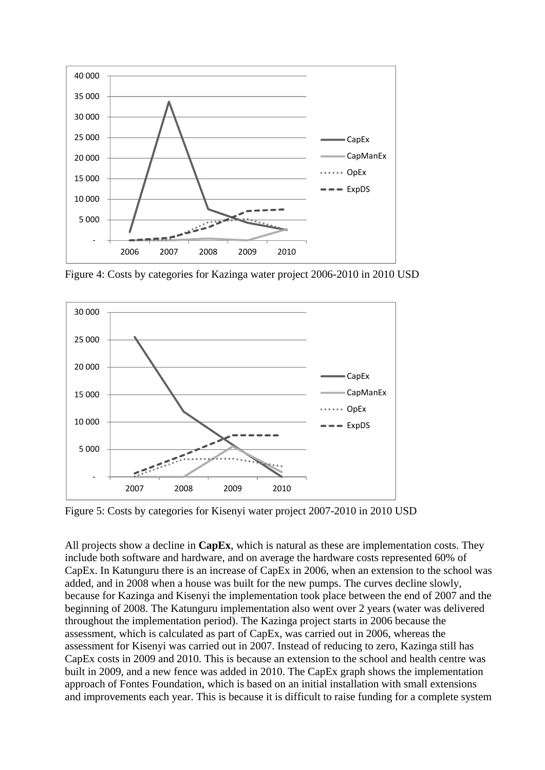

Figure 4: Costs by categories for Kazinga water project 2006-2010 in 2010 USD



Figure 5: Costs by categories for Kisenyi water project 2007-2010 in 2010 USD

All projects show a decline in **CapEx**, which is natural as these are implementation costs. They include both software and hardware, and on average the hardware costs represented 60% of CapEx. In Katunguru there is an increase of CapEx in 2006, when an extension to the school was added, and in 2008 when a house was built for the new pumps. The curves decline slowly, because for Kazinga and Kisenyi the implementation took place between the end of 2007 and the beginning of 2008. The Katunguru implementation also went over 2 years (water was delivered throughout the implementation period). The Kazinga project starts in 2006 because the assessment, which is calculated as part of CapEx, was carried out in 2006, whereas the assessment for Kisenyi was carried out in 2007. Instead of reducing to zero, Kazinga still has CapEx costs in 2009 and 2010. This is because an extension to the school and health centre was built in 2009, and a new fence was added in 2010. The CapEx graph shows the implementation approach of Fontes Foundation, which is based on an initial installation with small extensions and improvements each year. This is because it is difficult to raise funding for a complete system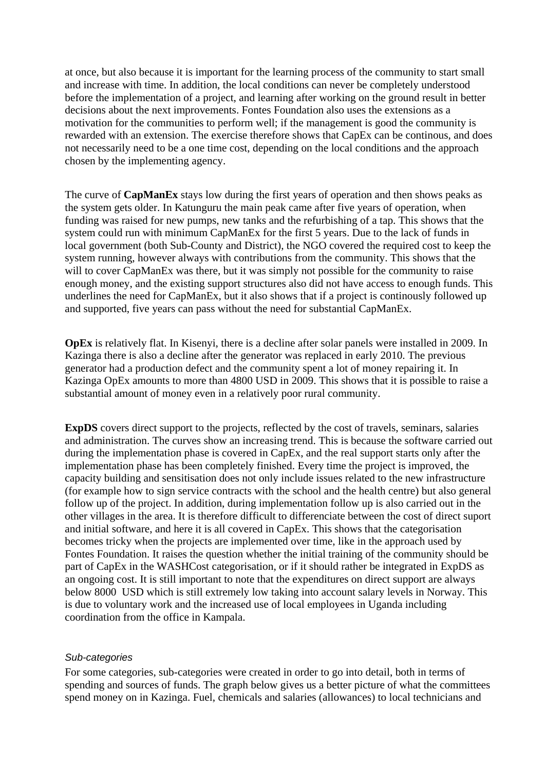at once, but also because it is important for the learning process of the community to start small and increase with time. In addition, the local conditions can never be completely understood before the implementation of a project, and learning after working on the ground result in better decisions about the next improvements. Fontes Foundation also uses the extensions as a motivation for the communities to perform well; if the management is good the community is rewarded with an extension. The exercise therefore shows that CapEx can be continous, and does not necessarily need to be a one time cost, depending on the local conditions and the approach chosen by the implementing agency.

The curve of **CapManEx** stays low during the first years of operation and then shows peaks as the system gets older. In Katunguru the main peak came after five years of operation, when funding was raised for new pumps, new tanks and the refurbishing of a tap. This shows that the system could run with minimum CapManEx for the first 5 years. Due to the lack of funds in local government (both Sub-County and District), the NGO covered the required cost to keep the system running, however always with contributions from the community. This shows that the will to cover CapManEx was there, but it was simply not possible for the community to raise enough money, and the existing support structures also did not have access to enough funds. This underlines the need for CapManEx, but it also shows that if a project is continously followed up and supported, five years can pass without the need for substantial CapManEx.

**OpEx** is relatively flat. In Kisenyi, there is a decline after solar panels were installed in 2009. In Kazinga there is also a decline after the generator was replaced in early 2010. The previous generator had a production defect and the community spent a lot of money repairing it. In Kazinga OpEx amounts to more than 4800 USD in 2009. This shows that it is possible to raise a substantial amount of money even in a relatively poor rural community.

**ExpDS** covers direct support to the projects, reflected by the cost of travels, seminars, salaries and administration. The curves show an increasing trend. This is because the software carried out during the implementation phase is covered in CapEx, and the real support starts only after the implementation phase has been completely finished. Every time the project is improved, the capacity building and sensitisation does not only include issues related to the new infrastructure (for example how to sign service contracts with the school and the health centre) but also general follow up of the project. In addition, during implementation follow up is also carried out in the other villages in the area. It is therefore difficult to differenciate between the cost of direct suport and initial software, and here it is all covered in CapEx. This shows that the categorisation becomes tricky when the projects are implemented over time, like in the approach used by Fontes Foundation. It raises the question whether the initial training of the community should be part of CapEx in the WASHCost categorisation, or if it should rather be integrated in ExpDS as an ongoing cost. It is still important to note that the expenditures on direct support are always below 8000 USD which is still extremely low taking into account salary levels in Norway. This is due to voluntary work and the increased use of local employees in Uganda including coordination from the office in Kampala.

#### *Sub-categories*

For some categories, sub-categories were created in order to go into detail, both in terms of spending and sources of funds. The graph below gives us a better picture of what the committees spend money on in Kazinga. Fuel, chemicals and salaries (allowances) to local technicians and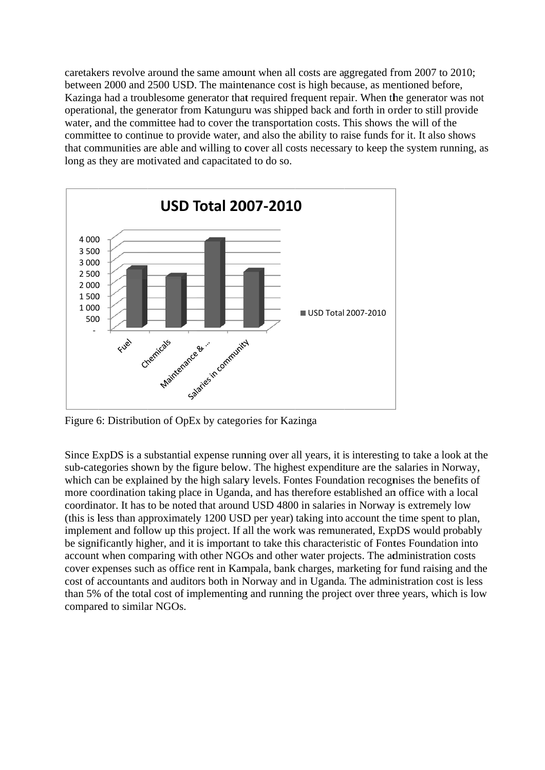caretakers revolve around the same amount when all costs are aggregated from 2007 to 2010; between 2000 and 2500 USD. The maintenance cost is high because, as mentioned before, Kazinga had a troublesome generator that required frequent repair. When the generator was not operational, the generator from Katunguru was shipped back and forth in order to still provide water, and the committee had to cover the transportation costs. This shows the will of the committee to continue to provide water, and also the ability to raise funds for it. It also shows that communities are able and willing to cover all costs necessary to keep the system running, as long as they are motivated and capacitated to do so.



Figure 6: Distribution of OpEx by categories for Kazinga

Since ExpDS is a substantial expense running over all years, it is interesting to take a look at the sub-categories shown by the figure below. The highest expenditure are the salaries in Norway, which can be explained by the high salary levels. Fontes Foundation recognises the benefits of more coordination taking place in Uganda, and has therefore established an office with a local coordinator. It has to be noted that around USD 4800 in salaries in Norway is extremely low (this is less than approximately 1200 USD per year) taking into account the time spent to plan, implement and follow up this project. If all the work was remunerated, ExpDS would probably be significantly higher, and it is important to take this characteristic of Fontes Foundation into account when comparing with other NGOs and other water projects. The administration costs cover expenses such as office rent in Kampala, bank charges, marketing for fund raising and the cost of accountants and auditors both in Norway and in Uganda. The administration cost is less than 5% of the total cost of implementing and running the project over three years, which is low compared to similar NGOs.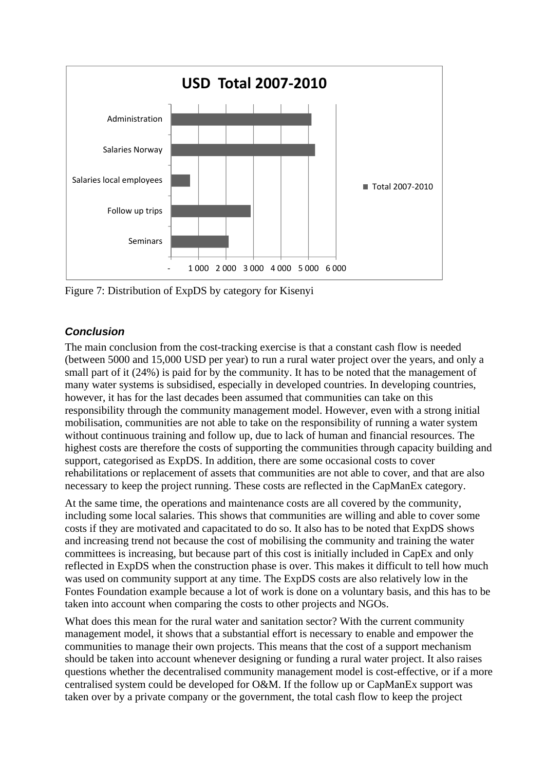

Figure 7: Distribution of ExpDS by category for Kisenyi

# *Conclusion*

The main conclusion from the cost-tracking exercise is that a constant cash flow is needed (between 5000 and 15,000 USD per year) to run a rural water project over the years, and only a small part of it (24%) is paid for by the community. It has to be noted that the management of many water systems is subsidised, especially in developed countries. In developing countries, however, it has for the last decades been assumed that communities can take on this responsibility through the community management model. However, even with a strong initial mobilisation, communities are not able to take on the responsibility of running a water system without continuous training and follow up, due to lack of human and financial resources. The highest costs are therefore the costs of supporting the communities through capacity building and support, categorised as ExpDS. In addition, there are some occasional costs to cover rehabilitations or replacement of assets that communities are not able to cover, and that are also necessary to keep the project running. These costs are reflected in the CapManEx category.

At the same time, the operations and maintenance costs are all covered by the community, including some local salaries. This shows that communities are willing and able to cover some costs if they are motivated and capacitated to do so. It also has to be noted that ExpDS shows and increasing trend not because the cost of mobilising the community and training the water committees is increasing, but because part of this cost is initially included in CapEx and only reflected in ExpDS when the construction phase is over. This makes it difficult to tell how much was used on community support at any time. The ExpDS costs are also relatively low in the Fontes Foundation example because a lot of work is done on a voluntary basis, and this has to be taken into account when comparing the costs to other projects and NGOs.

What does this mean for the rural water and sanitation sector? With the current community management model, it shows that a substantial effort is necessary to enable and empower the communities to manage their own projects. This means that the cost of a support mechanism should be taken into account whenever designing or funding a rural water project. It also raises questions whether the decentralised community management model is cost-effective, or if a more centralised system could be developed for O&M. If the follow up or CapManEx support was taken over by a private company or the government, the total cash flow to keep the project